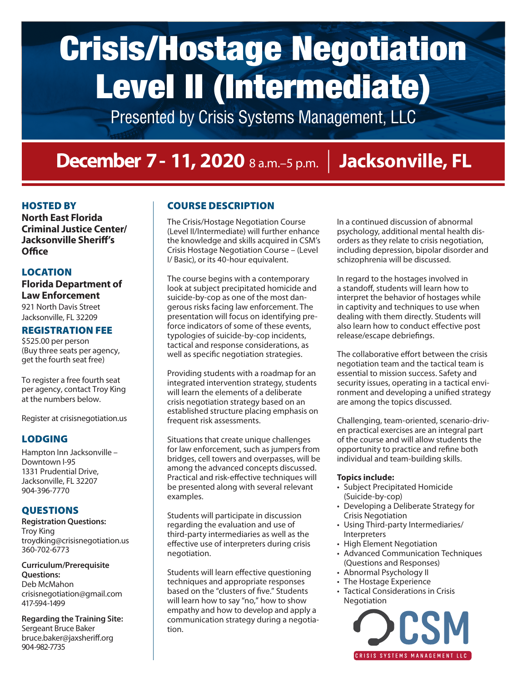## Crisis/Hostage Negotiation Level II (Intermediate)

Presented by Crisis Systems Management, LLC

### **December 7- 11, 2020** 8 a.m.–5 p.m. | **Jacksonville, FL**

#### HOSTED BY

**North East Florida Criminal Justice Center/ Jacksonville Sheriff's Office**

#### LOCATION

**Florida Department of Law Enforcement** 921 North Davis Street Jacksonville, FL 32209

#### REGISTRATION FEE

\$525.00 per person (Buy three seats per agency, get the fourth seat free)

To register a free fourth seat per agency, contact Troy King at the numbers below.

Register at crisisnegotiation.us

### LODGING

Hampton Inn Jacksonville – Downtown I-95 1331 Prudential Drive, Jacksonville, FL 32207 904-396-7770

#### QUESTIONS

**Registration Questions:**  Troy King troydking@crisisnegotiation.us 360-702-6773

#### **Curriculum/Prerequisite Questions:** Deb McMahon

crisisnegotiation@gmail.com 417-594-1499

**Regarding the Training Site:**  Sergeant Bruce Baker bruce.baker@jaxsheriff.org 904-982-7735

### COURSE DESCRIPTION

The Crisis/Hostage Negotiation Course (Level II/Intermediate) will further enhance the knowledge and skills acquired in CSM's Crisis Hostage Negotiation Course – (Level I/ Basic), or its 40-hour equivalent.

The course begins with a contemporary look at subject precipitated homicide and suicide-by-cop as one of the most dangerous risks facing law enforcement. The presentation will focus on identifying preforce indicators of some of these events, typologies of suicide-by-cop incidents, tactical and response considerations, as well as specific negotiation strategies.

Providing students with a roadmap for an integrated intervention strategy, students will learn the elements of a deliberate crisis negotiation strategy based on an established structure placing emphasis on frequent risk assessments.

Situations that create unique challenges for law enforcement, such as jumpers from bridges, cell towers and overpasses, will be among the advanced concepts discussed. Practical and risk-effective techniques will be presented along with several relevant examples.

Students will participate in discussion regarding the evaluation and use of third-party intermediaries as well as the effective use of interpreters during crisis negotiation.

Students will learn effective questioning techniques and appropriate responses based on the "clusters of five." Students will learn how to say "no," how to show empathy and how to develop and apply a communication strategy during a negotiation.

In a continued discussion of abnormal psychology, additional mental health disorders as they relate to crisis negotiation, including depression, bipolar disorder and schizophrenia will be discussed.

In regard to the hostages involved in a standoff, students will learn how to interpret the behavior of hostages while in captivity and techniques to use when dealing with them directly. Students will also learn how to conduct effective post release/escape debriefings.

The collaborative effort between the crisis negotiation team and the tactical team is essential to mission success. Safety and security issues, operating in a tactical environment and developing a unified strategy are among the topics discussed.

Challenging, team-oriented, scenario-driven practical exercises are an integral part of the course and will allow students the opportunity to practice and refine both individual and team-building skills.

#### **Topics include:**

- Subject Precipitated Homicide (Suicide-by-cop)
- Developing a Deliberate Strategy for Crisis Negotiation
- Using Third-party Intermediaries/ **Interpreters**
- High Element Negotiation
- Advanced Communication Techniques (Questions and Responses)
- Abnormal Psychology II
- The Hostage Experience
- Tactical Considerations in Crisis Negotiation